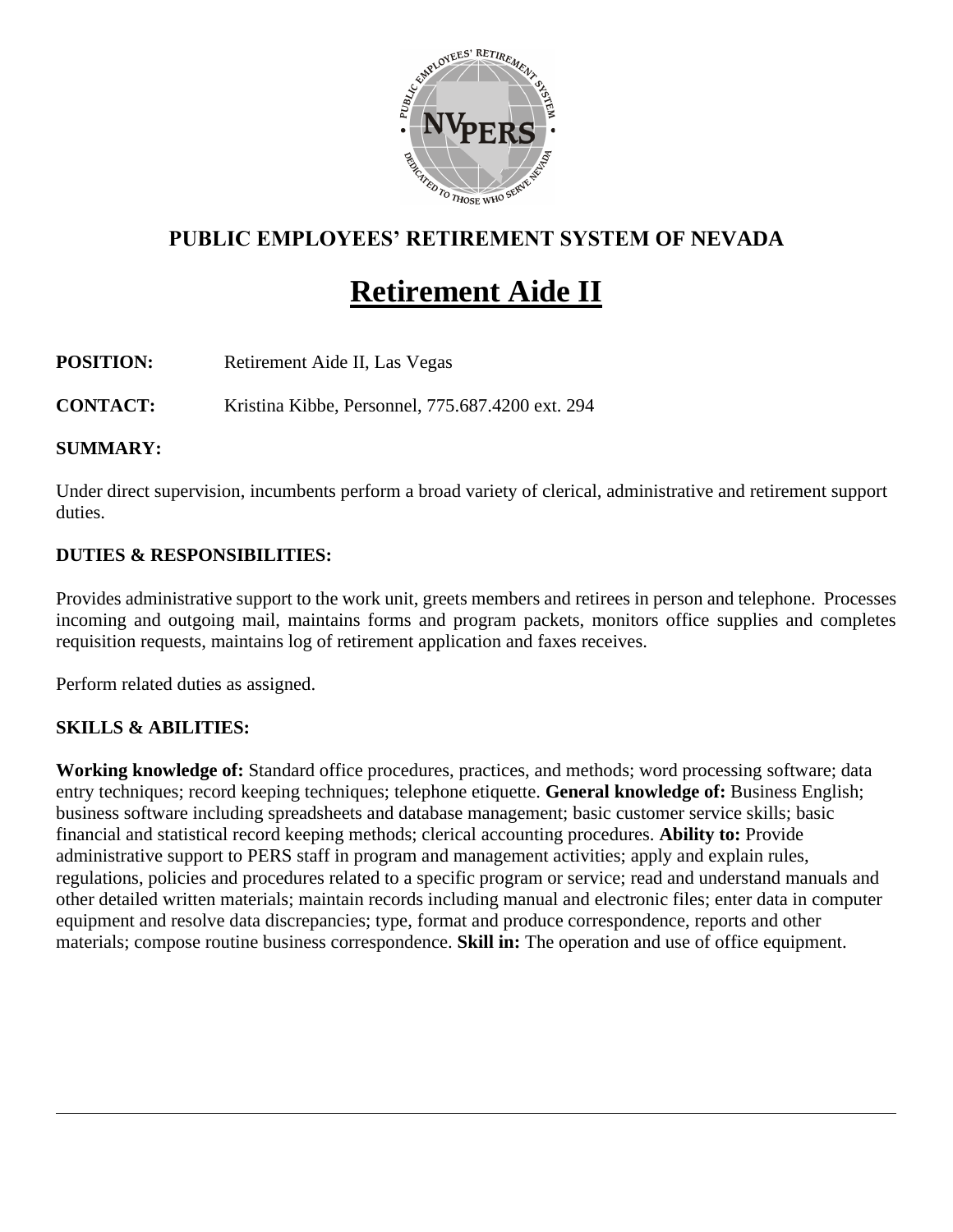

# **PUBLIC EMPLOYEES' RETIREMENT SYSTEM OF NEVADA**

# **Retirement Aide II**

**POSITION:** Retirement Aide II, Las Vegas

**CONTACT:** Kristina Kibbe, Personnel, 775.687.4200 ext. 294

#### **SUMMARY:**

Under direct supervision, incumbents perform a broad variety of clerical, administrative and retirement support duties.

#### **DUTIES & RESPONSIBILITIES:**

Provides administrative support to the work unit, greets members and retirees in person and telephone. Processes incoming and outgoing mail, maintains forms and program packets, monitors office supplies and completes requisition requests, maintains log of retirement application and faxes receives.

Perform related duties as assigned.

#### **SKILLS & ABILITIES:**

**Working knowledge of:** Standard office procedures, practices, and methods; word processing software; data entry techniques; record keeping techniques; telephone etiquette. **General knowledge of:** Business English; business software including spreadsheets and database management; basic customer service skills; basic financial and statistical record keeping methods; clerical accounting procedures. **Ability to:** Provide administrative support to PERS staff in program and management activities; apply and explain rules, regulations, policies and procedures related to a specific program or service; read and understand manuals and other detailed written materials; maintain records including manual and electronic files; enter data in computer equipment and resolve data discrepancies; type, format and produce correspondence, reports and other materials; compose routine business correspondence. **Skill in:** The operation and use of office equipment.